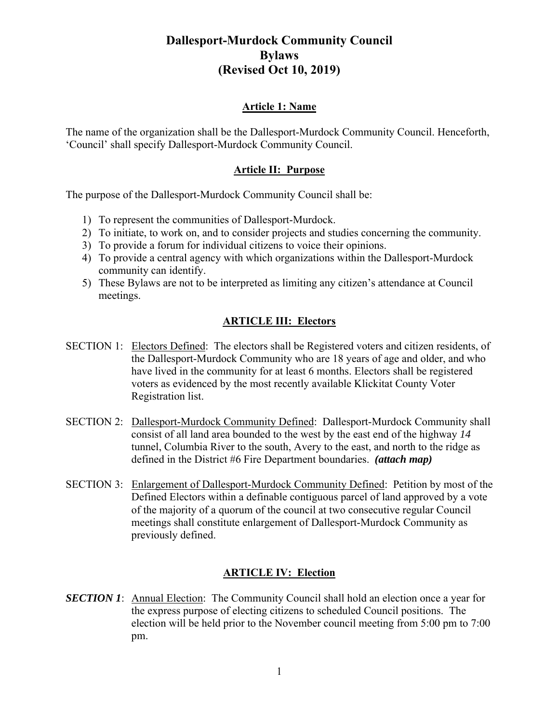### **Article 1: Name**

The name of the organization shall be the Dallesport-Murdock Community Council. Henceforth, 'Council' shall specify Dallesport-Murdock Community Council.

### **Article II: Purpose**

The purpose of the Dallesport-Murdock Community Council shall be:

- 1) To represent the communities of Dallesport-Murdock.
- 2) To initiate, to work on, and to consider projects and studies concerning the community.
- 3) To provide a forum for individual citizens to voice their opinions.
- 4) To provide a central agency with which organizations within the Dallesport-Murdock community can identify.
- 5) These Bylaws are not to be interpreted as limiting any citizen's attendance at Council meetings.

### **ARTICLE III: Electors**

- SECTION 1: Electors Defined: The electors shall be Registered voters and citizen residents, of the Dallesport-Murdock Community who are 18 years of age and older, and who have lived in the community for at least 6 months. Electors shall be registered voters as evidenced by the most recently available Klickitat County Voter Registration list.
- SECTION 2: Dallesport-Murdock Community Defined: Dallesport-Murdock Community shall consist of all land area bounded to the west by the east end of the highway *14* tunnel, Columbia River to the south, Avery to the east, and north to the ridge as defined in the District #6 Fire Department boundaries. *(attach map)*
- SECTION 3: Enlargement of Dallesport-Murdock Community Defined: Petition by most of the Defined Electors within a definable contiguous parcel of land approved by a vote of the majority of a quorum of the council at two consecutive regular Council meetings shall constitute enlargement of Dallesport-Murdock Community as previously defined.

#### **ARTICLE IV: Election**

**SECTION 1:** Annual Election: The Community Council shall hold an election once a year for the express purpose of electing citizens to scheduled Council positions. The election will be held prior to the November council meeting from 5:00 pm to 7:00 pm.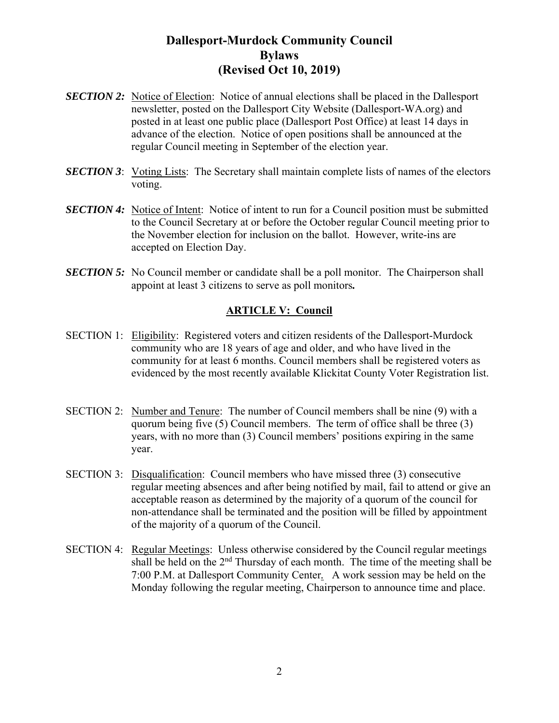- **SECTION 2:** Notice of Election: Notice of annual elections shall be placed in the Dallesport newsletter, posted on the Dallesport City Website (Dallesport-WA.org) and posted in at least one public place (Dallesport Post Office) at least 14 days in advance of the election. Notice of open positions shall be announced at the regular Council meeting in September of the election year.
- **SECTION 3**: Voting Lists: The Secretary shall maintain complete lists of names of the electors voting.
- **SECTION 4:** Notice of Intent: Notice of intent to run for a Council position must be submitted to the Council Secretary at or before the October regular Council meeting prior to the November election for inclusion on the ballot. However, write-ins are accepted on Election Day.
- *SECTION 5:* No Council member or candidate shall be a poll monitor. The Chairperson shall appoint at least 3 citizens to serve as poll monitors*.*

#### **ARTICLE V: Council**

- SECTION 1: Eligibility: Registered voters and citizen residents of the Dallesport-Murdock community who are 18 years of age and older, and who have lived in the community for at least 6 months. Council members shall be registered voters as evidenced by the most recently available Klickitat County Voter Registration list.
- SECTION 2: Number and Tenure: The number of Council members shall be nine (9) with a quorum being five (5) Council members. The term of office shall be three (3) years, with no more than (3) Council members' positions expiring in the same year.
- SECTION 3: Disqualification: Council members who have missed three (3) consecutive regular meeting absences and after being notified by mail, fail to attend or give an acceptable reason as determined by the majority of a quorum of the council for non-attendance shall be terminated and the position will be filled by appointment of the majority of a quorum of the Council.
- SECTION 4: Regular Meetings: Unless otherwise considered by the Council regular meetings shall be held on the  $2<sup>nd</sup>$  Thursday of each month. The time of the meeting shall be 7:00 P.M. at Dallesport Community Center*.* A work session may be held on the Monday following the regular meeting, Chairperson to announce time and place.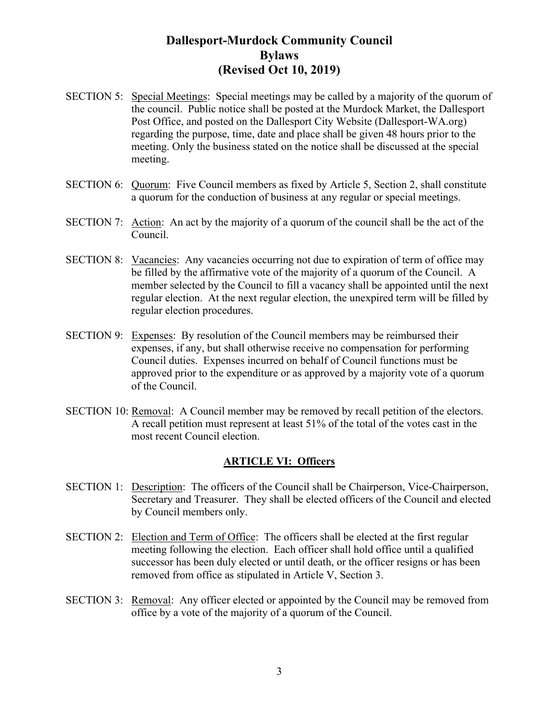- SECTION 5: Special Meetings: Special meetings may be called by a majority of the quorum of the council. Public notice shall be posted at the Murdock Market, the Dallesport Post Office, and posted on the Dallesport City Website (Dallesport-WA.org) regarding the purpose, time, date and place shall be given 48 hours prior to the meeting. Only the business stated on the notice shall be discussed at the special meeting.
- SECTION 6: Quorum: Five Council members as fixed by Article 5, Section 2, shall constitute a quorum for the conduction of business at any regular or special meetings.
- SECTION 7: Action: An act by the majority of a quorum of the council shall be the act of the Council.
- SECTION 8: Vacancies: Any vacancies occurring not due to expiration of term of office may be filled by the affirmative vote of the majority of a quorum of the Council. A member selected by the Council to fill a vacancy shall be appointed until the next regular election. At the next regular election, the unexpired term will be filled by regular election procedures.
- SECTION 9: Expenses: By resolution of the Council members may be reimbursed their expenses, if any, but shall otherwise receive no compensation for performing Council duties. Expenses incurred on behalf of Council functions must be approved prior to the expenditure or as approved by a majority vote of a quorum of the Council.
- SECTION 10: Removal: A Council member may be removed by recall petition of the electors. A recall petition must represent at least 51% of the total of the votes cast in the most recent Council election.

#### **ARTICLE VI: Officers**

- SECTION 1: Description: The officers of the Council shall be Chairperson, Vice-Chairperson, Secretary and Treasurer. They shall be elected officers of the Council and elected by Council members only.
- SECTION 2: Election and Term of Office: The officers shall be elected at the first regular meeting following the election. Each officer shall hold office until a qualified successor has been duly elected or until death, or the officer resigns or has been removed from office as stipulated in Article V, Section 3.
- SECTION 3: Removal: Any officer elected or appointed by the Council may be removed from office by a vote of the majority of a quorum of the Council.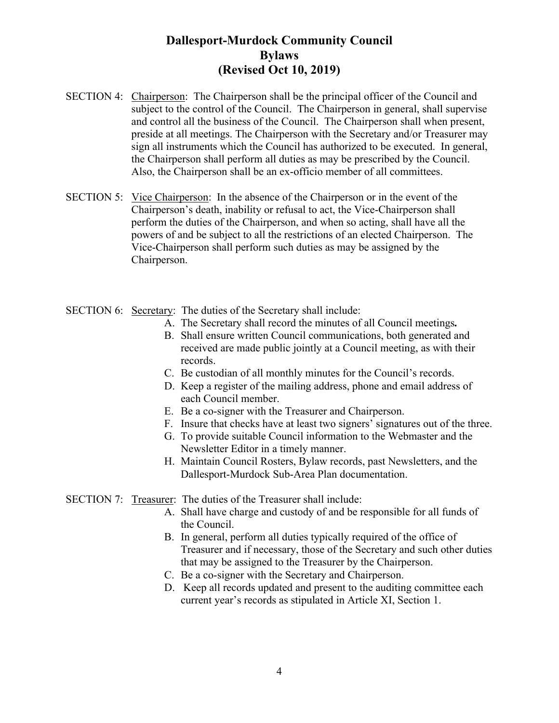- SECTION 4: Chairperson: The Chairperson shall be the principal officer of the Council and subject to the control of the Council. The Chairperson in general, shall supervise and control all the business of the Council. The Chairperson shall when present, preside at all meetings. The Chairperson with the Secretary and/or Treasurer may sign all instruments which the Council has authorized to be executed. In general, the Chairperson shall perform all duties as may be prescribed by the Council. Also, the Chairperson shall be an ex-officio member of all committees.
- SECTION 5: Vice Chairperson: In the absence of the Chairperson or in the event of the Chairperson's death, inability or refusal to act, the Vice-Chairperson shall perform the duties of the Chairperson, and when so acting, shall have all the powers of and be subject to all the restrictions of an elected Chairperson. The Vice-Chairperson shall perform such duties as may be assigned by the Chairperson.
- SECTION 6: Secretary: The duties of the Secretary shall include:
	- A. The Secretary shall record the minutes of all Council meetings*.*
	- B. Shall ensure written Council communications, both generated and received are made public jointly at a Council meeting, as with their records.
	- C. Be custodian of all monthly minutes for the Council's records.
	- D. Keep a register of the mailing address, phone and email address of each Council member.
	- E. Be a co-signer with the Treasurer and Chairperson.
	- F. Insure that checks have at least two signers' signatures out of the three.
	- G. To provide suitable Council information to the Webmaster and the Newsletter Editor in a timely manner.
	- H. Maintain Council Rosters, Bylaw records, past Newsletters, and the Dallesport-Murdock Sub-Area Plan documentation.

SECTION 7: Treasurer: The duties of the Treasurer shall include:

- A. Shall have charge and custody of and be responsible for all funds of the Council.
- B. In general, perform all duties typically required of the office of Treasurer and if necessary, those of the Secretary and such other duties that may be assigned to the Treasurer by the Chairperson.
- C. Be a co-signer with the Secretary and Chairperson.
- D. Keep all records updated and present to the auditing committee each current year's records as stipulated in Article XI, Section 1.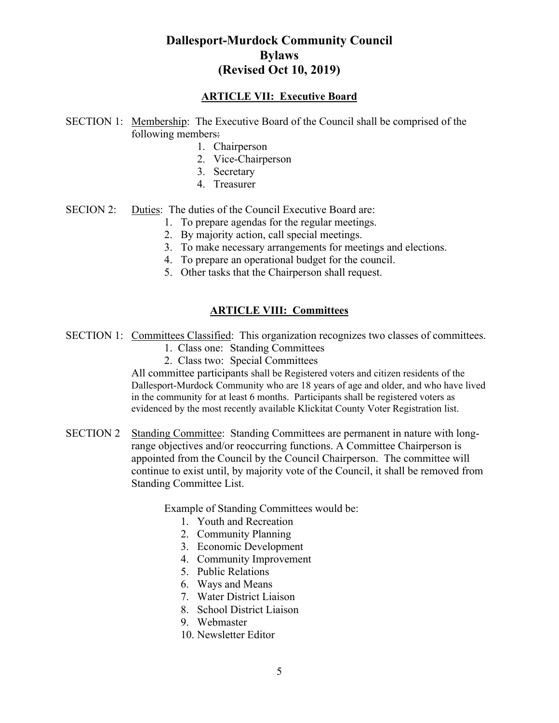#### **ARTICLE VII: Executive Board**

- SECTION 1: Membership: The Executive Board of the Council shall be comprised of the following members:
	- 1. Chairperson
	- 2. Vice-Chairperson
	- 3. Secretary
	- 4. Treasurer
- SECION 2: Duties: The duties of the Council Executive Board are:
	- 1. To prepare agendas for the regular meetings.
		- 2. By majority action, call special meetings.
		- 3. To make necessary arrangements for meetings and elections.
		- 4. To prepare an operational budget for the council.
	- 5. Other tasks that the Chairperson shall request.

#### **ARTICLE VIII: Committees**

- SECTION 1: Committees Classified: This organization recognizes two classes of committees.
	- 1. Class one: Standing Committees
	- 2. Class two: Special Committees

All committee participants shall be Registered voters and citizen residents of the Dallesport-Murdock Community who are 18 years of age and older, and who have lived in the community for at least 6 months. Participants shall be registered voters as evidenced by the most recently available Klickitat County Voter Registration list.

SECTION 2 Standing Committee: Standing Committees are permanent in nature with longrange objectives and/or reoccurring functions. A Committee Chairperson is appointed from the Council by the Council Chairperson. The committee will continue to exist until, by majority vote of the Council, it shall be removed from Standing Committee List.

Example of Standing Committees would be:

- 1. Youth and Recreation
- 2. Community Planning
- 3. Economic Development
- 4. Community Improvement
- 5. Public Relations
- 6. Ways and Means
- 7. Water District Liaison
- 8. School District Liaison
- 9. Webmaster
- 10. Newsletter Editor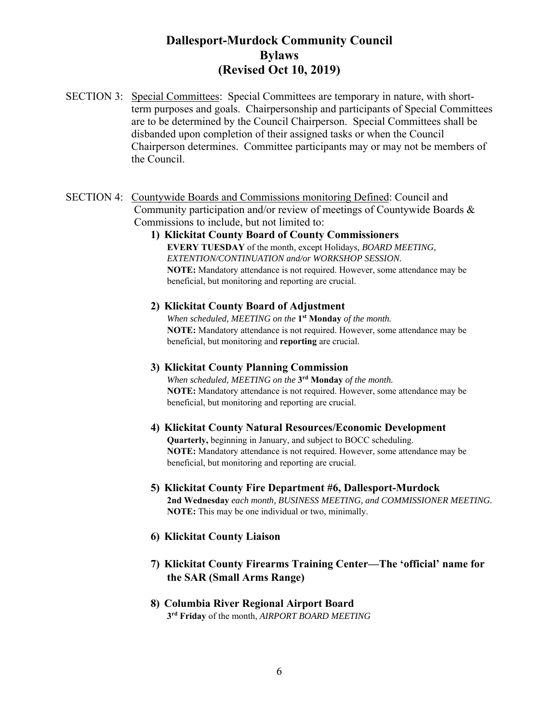- SECTION 3: Special Committees: Special Committees are temporary in nature, with shortterm purposes and goals. Chairpersonship and participants of Special Committees are to be determined by the Council Chairperson. Special Committees shall be disbanded upon completion of their assigned tasks or when the Council Chairperson determines. Committee participants may or may not be members of the Council.
- SECTION 4: Countywide Boards and Commissions monitoring Defined: Council and Community participation and/or review of meetings of Countywide Boards & Commissions to include, but not limited to:
	- **1) Klickitat County Board of County Commissioners EVERY TUESDAY** of the month*,* except Holidays*, BOARD MEETING, EXTENTION/CONTINUATION and/or WORKSHOP SESSION.* **NOTE:** Mandatory attendance is not required. However, some attendance may be beneficial, but monitoring and reporting are crucial.

#### **2) Klickitat County Board of Adjustment**

*When scheduled, MEETING on the* **1st Monday** *of the month.*  **NOTE:** Mandatory attendance is not required. However, some attendance may be beneficial, but monitoring and **reporting** are crucial.

#### **3) Klickitat County Planning Commission**

*When scheduled, MEETING on the* **3rd Monday** *of the month.*  **NOTE:** Mandatory attendance is not required. However, some attendance may be beneficial, but monitoring and reporting are crucial.

- **4) Klickitat County Natural Resources/Economic Development Quarterly,** beginning in January, and subject to BOCC scheduling. **NOTE:** Mandatory attendance is not required. However, some attendance may be beneficial, but monitoring and reporting are crucial.
- **5) Klickitat County Fire Department #6, Dallesport-Murdock 2nd Wednesday** *each month, BUSINESS MEETING, and COMMISSIONER MEETING.*  **NOTE:** This may be one individual or two, minimally.
- **6) Klickitat County Liaison**
- **7) Klickitat County Firearms Training Center—The 'official' name for the SAR (Small Arms Range)**
- **8) Columbia River Regional Airport Board 3rd Friday** of the month, *AIRPORT BOARD MEETING*